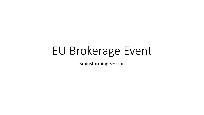# EU Brokerage Event

Brainstorming Session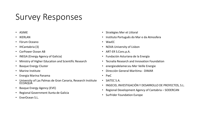## Survey Responses

- ASIME
- IKERLAN
- Fórum Oceano
- IHCantabria (3)
- CorPower Ocean AB
- INEGA (Energy Agency of Galicia)
- Ministry of Higher Education and Scientific Research
- Basque Energy Cluster
- Marine Institute
- Energia Marina Panama
- University of Las Palmas de Gran Canaria, Research Institute **ECOAOUÁ**
- Basque Energy Agency (EVE)
- Regional Government Xunta de Galicia
- EnerOcean S.L.
- Stratégies Mer et Littoral
- Instituto Português do Mar e da Atmosfera
- WavEC
- NOVA University of Lisbon
- ART-ER S.Cons.p.A.
- Fundación Asturiana de la Energía
- Tecnalia Research and Innovation Foundation
- energiesdelamer.eu Mer Veille Energie
- Dirección General Marítima DIMAR
- PwC
- SAITEC S.A.
- INGECID, INVESTIGACIÓN Y DESARROLLO DE PROYECTOS, S.L.
- Regional Development Agency of Cantabria SODERCAN
- Surfrider Foundation Europe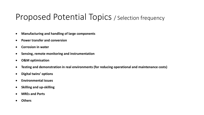### Proposed Potential Topics / Selection frequency

- **Manufacturing and handling of large components**
- **Power transfer and conversion**
- **Corrosion in water**
- **Sensing, remote monitoring and instrumentation**
- **O&M optimisation**
- **Testing and demonstration in real environments (for reducing operational and maintenance costs)**
- **Digital twins' options**
- **Environmental issues**
- **Skilling and up-skilling**
- **MREs and Ports**
- **Others**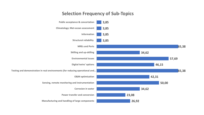#### **Selection Frequency of Sub-Topics**